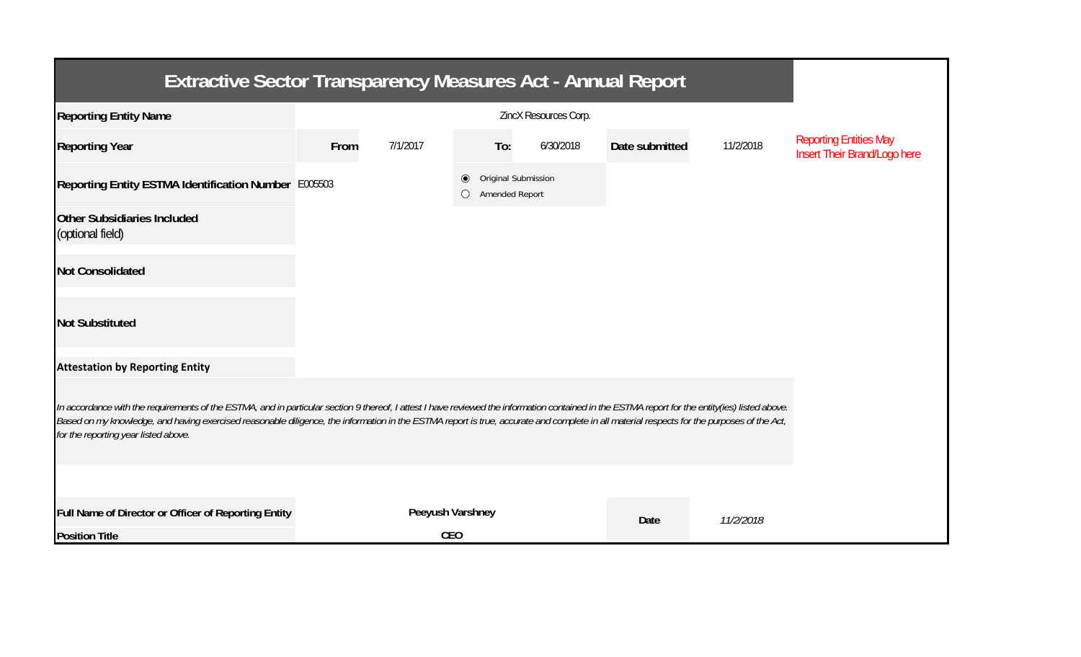| <b>Extractive Sector Transparency Measures Act - Annual Report</b>                                                                                                                                                                                                                                                                                                                                                                    |      |                  |           |                |                     |                |           |                                                               |  |  |  |
|---------------------------------------------------------------------------------------------------------------------------------------------------------------------------------------------------------------------------------------------------------------------------------------------------------------------------------------------------------------------------------------------------------------------------------------|------|------------------|-----------|----------------|---------------------|----------------|-----------|---------------------------------------------------------------|--|--|--|
| <b>Reporting Entity Name</b>                                                                                                                                                                                                                                                                                                                                                                                                          |      |                  |           |                |                     |                |           |                                                               |  |  |  |
| <b>Reporting Year</b>                                                                                                                                                                                                                                                                                                                                                                                                                 | From | 7/1/2017         |           | To:            | 6/30/2018           | Date submitted | 11/2/2018 | <b>Reporting Entities May</b><br>Insert Their Brand/Logo here |  |  |  |
| Reporting Entity ESTMA Identification Number E005503                                                                                                                                                                                                                                                                                                                                                                                  |      |                  | $\bullet$ | Amended Report | Original Submission |                |           |                                                               |  |  |  |
| <b>Other Subsidiaries Included</b><br>(optional field)                                                                                                                                                                                                                                                                                                                                                                                |      |                  |           |                |                     |                |           |                                                               |  |  |  |
| <b>Not Consolidated</b>                                                                                                                                                                                                                                                                                                                                                                                                               |      |                  |           |                |                     |                |           |                                                               |  |  |  |
| <b>Not Substituted</b>                                                                                                                                                                                                                                                                                                                                                                                                                |      |                  |           |                |                     |                |           |                                                               |  |  |  |
| <b>Attestation by Reporting Entity</b>                                                                                                                                                                                                                                                                                                                                                                                                |      |                  |           |                |                     |                |           |                                                               |  |  |  |
| In accordance with the requirements of the ESTMA, and in particular section 9 thereof, I attest I have reviewed the information contained in the ESTMA report for the entity(ies) listed above.<br>Based on my knowledge, and having exercised reasonable diligence, the information in the ESTMA report is true, accurate and complete in all material respects for the purposes of the Act,<br>for the reporting year listed above. |      |                  |           |                |                     |                |           |                                                               |  |  |  |
| Full Name of Director or Officer of Reporting Entity                                                                                                                                                                                                                                                                                                                                                                                  |      | Peeyush Varshney |           |                |                     | Date           | 11/2/2018 |                                                               |  |  |  |
| <b>Position Title</b>                                                                                                                                                                                                                                                                                                                                                                                                                 |      | <b>CEO</b>       |           |                |                     |                |           |                                                               |  |  |  |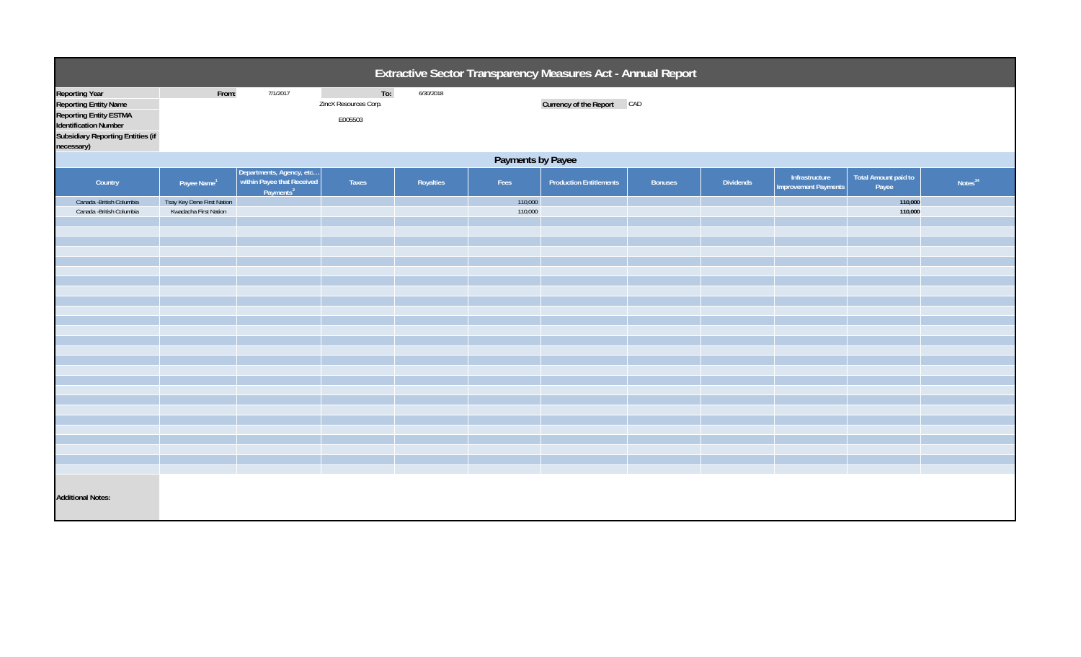| Extractive Sector Transparency Measures Act - Annual Report                                                                                                               |                            |                                                                                 |                                         |           |         |                                |                |           |                                               |                                      |                     |  |
|---------------------------------------------------------------------------------------------------------------------------------------------------------------------------|----------------------------|---------------------------------------------------------------------------------|-----------------------------------------|-----------|---------|--------------------------------|----------------|-----------|-----------------------------------------------|--------------------------------------|---------------------|--|
| <b>Reporting Year</b><br><b>Reporting Entity Name</b><br><b>Reporting Entity ESTMA</b><br>Identification Number<br><b>Subsidiary Reporting Entities (if</b><br>necessary) | From:                      | 7/1/2017                                                                        | To:<br>ZincX Resources Corp.<br>E005503 | 6/30/2018 |         | Currency of the Report CAD     |                |           |                                               |                                      |                     |  |
|                                                                                                                                                                           | Payments by Payee          |                                                                                 |                                         |           |         |                                |                |           |                                               |                                      |                     |  |
| Country                                                                                                                                                                   | Payee Name <sup>1</sup>    | Departments, Agency, etc<br>within Payee that Received<br>Payments <sup>2</sup> | Taxes                                   | Royalties | Fees    | <b>Production Entitlements</b> | <b>Bonuses</b> | Dividends | Infrastructure<br><b>Improvement Payments</b> | <b>Total Amount paid to</b><br>Payee | Notes <sup>34</sup> |  |
| Canada - British Columbia                                                                                                                                                 | Tsay Key Dene First Nation |                                                                                 |                                         |           | 110,000 |                                |                |           |                                               | 110,000                              |                     |  |
| Canada - British Columbia                                                                                                                                                 | Kwadacha First Nation      |                                                                                 |                                         |           | 110,000 |                                |                |           |                                               | 110,000                              |                     |  |
|                                                                                                                                                                           |                            |                                                                                 |                                         |           |         |                                |                |           |                                               |                                      |                     |  |
|                                                                                                                                                                           |                            |                                                                                 |                                         |           |         |                                |                |           |                                               |                                      |                     |  |
|                                                                                                                                                                           |                            |                                                                                 |                                         |           |         |                                |                |           |                                               |                                      |                     |  |
|                                                                                                                                                                           |                            |                                                                                 |                                         |           |         |                                |                |           |                                               |                                      |                     |  |
|                                                                                                                                                                           |                            |                                                                                 |                                         |           |         |                                |                |           |                                               |                                      |                     |  |
|                                                                                                                                                                           |                            |                                                                                 |                                         |           |         |                                |                |           |                                               |                                      |                     |  |
|                                                                                                                                                                           |                            |                                                                                 |                                         |           |         |                                |                |           |                                               |                                      |                     |  |
|                                                                                                                                                                           |                            |                                                                                 |                                         |           |         |                                |                |           |                                               |                                      |                     |  |
|                                                                                                                                                                           |                            |                                                                                 |                                         |           |         |                                |                |           |                                               |                                      |                     |  |
|                                                                                                                                                                           |                            |                                                                                 |                                         |           |         |                                |                |           |                                               |                                      |                     |  |
|                                                                                                                                                                           |                            |                                                                                 |                                         |           |         |                                |                |           |                                               |                                      |                     |  |
|                                                                                                                                                                           |                            |                                                                                 |                                         |           |         |                                |                |           |                                               |                                      |                     |  |
|                                                                                                                                                                           |                            |                                                                                 |                                         |           |         |                                |                |           |                                               |                                      |                     |  |
|                                                                                                                                                                           |                            |                                                                                 |                                         |           |         |                                |                |           |                                               |                                      |                     |  |
|                                                                                                                                                                           |                            |                                                                                 |                                         |           |         |                                |                |           |                                               |                                      |                     |  |
|                                                                                                                                                                           |                            |                                                                                 |                                         |           |         |                                |                |           |                                               |                                      |                     |  |
|                                                                                                                                                                           |                            |                                                                                 |                                         |           |         |                                |                |           |                                               |                                      |                     |  |
|                                                                                                                                                                           |                            |                                                                                 |                                         |           |         |                                |                |           |                                               |                                      |                     |  |
| <b>Additional Notes:</b>                                                                                                                                                  |                            |                                                                                 |                                         |           |         |                                |                |           |                                               |                                      |                     |  |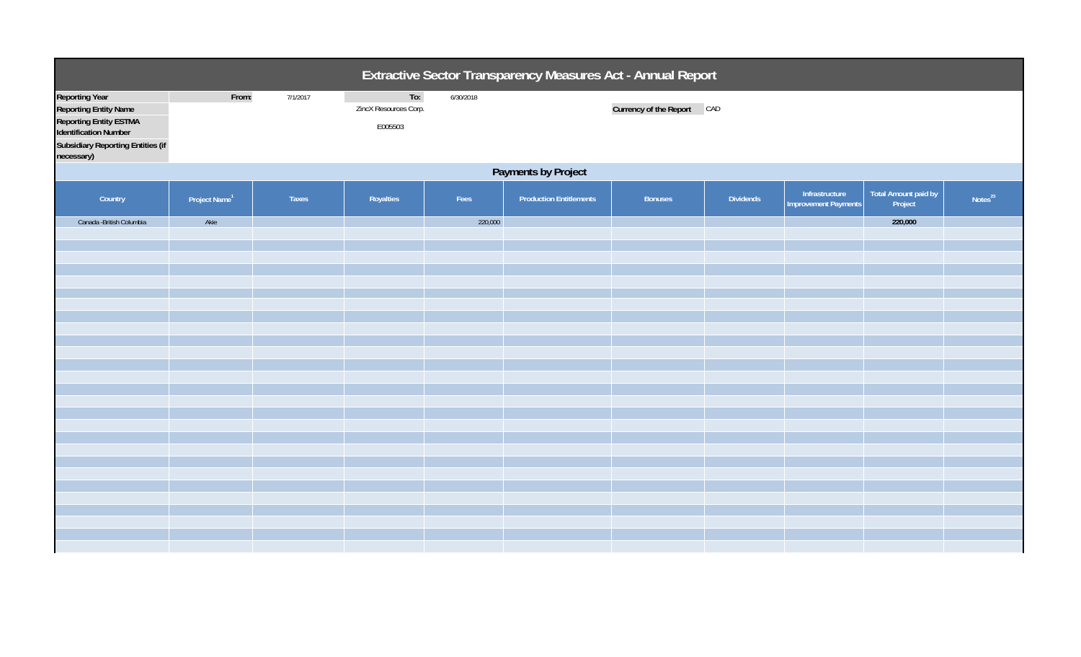| Extractive Sector Transparency Measures Act - Annual Report                                                                                                               |                           |          |                                         |           |                                |                            |                  |                                               |                                 |                     |
|---------------------------------------------------------------------------------------------------------------------------------------------------------------------------|---------------------------|----------|-----------------------------------------|-----------|--------------------------------|----------------------------|------------------|-----------------------------------------------|---------------------------------|---------------------|
| <b>Reporting Year</b><br><b>Reporting Entity Name</b><br><b>Reporting Entity ESTMA</b><br>Identification Number<br><b>Subsidiary Reporting Entities (if</b><br>necessary) | From:                     | 7/1/2017 | To:<br>ZincX Resources Corp.<br>E005503 | 6/30/2018 |                                | Currency of the Report CAD |                  |                                               |                                 |                     |
|                                                                                                                                                                           |                           |          |                                         |           | Payments by Project            |                            |                  |                                               |                                 |                     |
| Country                                                                                                                                                                   | Project Name <sup>1</sup> | Taxes    | Royalties                               | Fees      | <b>Production Entitlements</b> | <b>Bonuses</b>             | <b>Dividends</b> | Infrastructure<br><b>Improvement Payments</b> | Total Amount paid by<br>Project | Notes <sup>23</sup> |
| Canada - British Columbia                                                                                                                                                 | Akie                      |          |                                         | 220,000   |                                |                            |                  |                                               | 220,000                         |                     |
|                                                                                                                                                                           |                           |          |                                         |           |                                |                            |                  |                                               |                                 |                     |
|                                                                                                                                                                           |                           |          |                                         |           |                                |                            |                  |                                               |                                 |                     |
|                                                                                                                                                                           |                           |          |                                         |           |                                |                            |                  |                                               |                                 |                     |
|                                                                                                                                                                           |                           |          |                                         |           |                                |                            |                  |                                               |                                 |                     |
|                                                                                                                                                                           |                           |          |                                         |           |                                |                            |                  |                                               |                                 |                     |
|                                                                                                                                                                           |                           |          |                                         |           |                                |                            |                  |                                               |                                 |                     |
|                                                                                                                                                                           |                           |          |                                         |           |                                |                            |                  |                                               |                                 |                     |
|                                                                                                                                                                           |                           |          |                                         |           |                                |                            |                  |                                               |                                 |                     |
|                                                                                                                                                                           |                           |          |                                         |           |                                |                            |                  |                                               |                                 |                     |
|                                                                                                                                                                           |                           |          |                                         |           |                                |                            |                  |                                               |                                 |                     |
|                                                                                                                                                                           |                           |          |                                         |           |                                |                            |                  |                                               |                                 |                     |
|                                                                                                                                                                           |                           |          |                                         |           |                                |                            |                  |                                               |                                 |                     |
|                                                                                                                                                                           |                           |          |                                         |           |                                |                            |                  |                                               |                                 |                     |
|                                                                                                                                                                           |                           |          |                                         |           |                                |                            |                  |                                               |                                 |                     |
|                                                                                                                                                                           |                           |          |                                         |           |                                |                            |                  |                                               |                                 |                     |
|                                                                                                                                                                           |                           |          |                                         |           |                                |                            |                  |                                               |                                 |                     |
|                                                                                                                                                                           |                           |          |                                         |           |                                |                            |                  |                                               |                                 |                     |